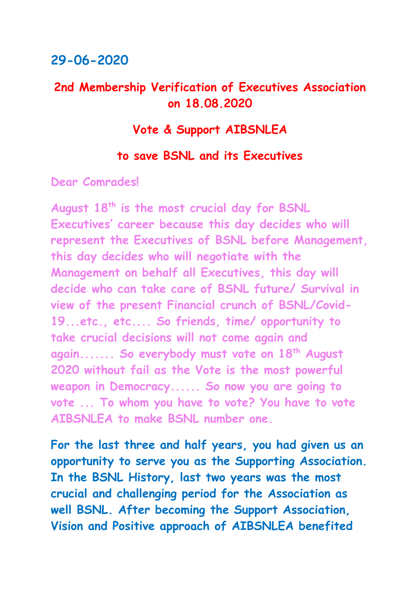## **29-06-2020**

## **2nd Membership Verification of Executives Association on 18.08.2020**

## **Vote & Support AIBSNLEA**

### **to save BSNL and its Executives**

**Dear Comrades!**

**August 18th is the most crucial day for BSNL Executives' career because this day decides who will represent the Executives of BSNL before Management, this day decides who will negotiate with the Management on behalf all Executives, this day will decide who can take care of BSNL future/ Survival in view of the present Financial crunch of BSNL/Covid-19...etc., etc.... So friends, time/ opportunity to take crucial decisions will not come again and again....... So everybody must vote on 18th August 2020 without fail as the Vote is the most powerful weapon in Democracy...... So now you are going to vote ... To whom you have to vote? You have to vote AIBSNLEA to make BSNL number one.**

**For the last three and half years, you had given us an opportunity to serve you as the Supporting Association. In the BSNL History, last two years was the most crucial and challenging period for the Association as well BSNL. After becoming the Support Association, Vision and Positive approach of AIBSNLEA benefited**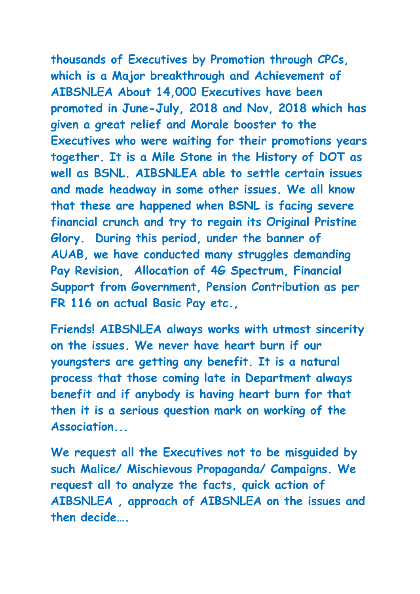**thousands of Executives by Promotion through CPCs, which is a Major breakthrough and Achievement of AIBSNLEA About 14,000 Executives have been promoted in June-July, 2018 and Nov, 2018 which has given a great relief and Morale booster to the Executives who were waiting for their promotions years together. It is a Mile Stone in the History of DOT as well as BSNL. AIBSNLEA able to settle certain issues and made headway in some other issues. We all know that these are happened when BSNL is facing severe financial crunch and try to regain its Original Pristine Glory. During this period, under the banner of AUAB, we have conducted many struggles demanding Pay Revision, Allocation of 4G Spectrum, Financial Support from Government, Pension Contribution as per FR 116 on actual Basic Pay etc.,**

**Friends! AIBSNLEA always works with utmost sincerity on the issues. We never have heart burn if our youngsters are getting any benefit. It is a natural process that those coming late in Department always benefit and if anybody is having heart burn for that then it is a serious question mark on working of the Association...**

**We request all the Executives not to be misguided by such Malice/ Mischievous Propaganda/ Campaigns. We request all to analyze the facts, quick action of AIBSNLEA , approach of AIBSNLEA on the issues and then decide….**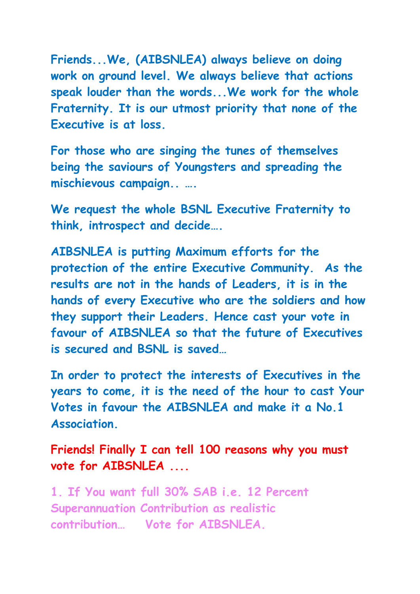**Friends...We, (AIBSNLEA) always believe on doing work on ground level. We always believe that actions speak louder than the words...We work for the whole Fraternity. It is our utmost priority that none of the Executive is at loss.**

**For those who are singing the tunes of themselves being the saviours of Youngsters and spreading the mischievous campaign.. ….**

**We request the whole BSNL Executive Fraternity to think, introspect and decide….**

**AIBSNLEA is putting Maximum efforts for the protection of the entire Executive Community. As the results are not in the hands of Leaders, it is in the hands of every Executive who are the soldiers and how they support their Leaders. Hence cast your vote in favour of AIBSNLEA so that the future of Executives is secured and BSNL is saved…**

**In order to protect the interests of Executives in the years to come, it is the need of the hour to cast Your Votes in favour the AIBSNLEA and make it a No.1 Association.**

**Friends! Finally I can tell 100 reasons why you must vote for AIBSNLEA ....**

**1. If You want full 30% SAB i.e. 12 Percent Superannuation Contribution as realistic contribution… Vote for AIBSNLEA.**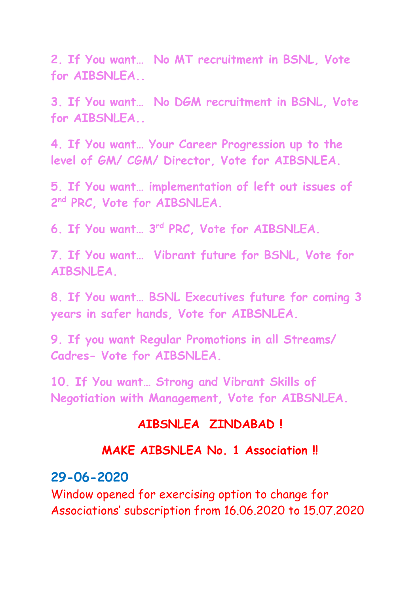**2. If You want… No MT recruitment in BSNL, Vote for AIBSNLEA..**

**3. If You want… No DGM recruitment in BSNL, Vote for AIBSNLEA..**

**4. If You want… Your Career Progression up to the level of GM/ CGM/ Director, Vote for AIBSNLEA.**

**5. If You want… implementation of left out issues of 2 nd PRC, Vote for AIBSNLEA.**

**6. If You want… 3rd PRC, Vote for AIBSNLEA.**

**7. If You want… Vibrant future for BSNL, Vote for AIBSNLEA.**

**8. If You want… BSNL Executives future for coming 3 years in safer hands, Vote for AIBSNLEA.**

**9. If you want Regular Promotions in all Streams/ Cadres- Vote for AIBSNLEA.**

**10. If You want… Strong and Vibrant Skills of Negotiation with Management, Vote for AIBSNLEA.**

### **AIBSNLEA ZINDABAD !**

### **MAKE AIBSNLEA No. 1 Association !!**

### **29-06-2020**

Window opened for exercising option to change for Associations' subscription from 16.06.2020 to 15.07.2020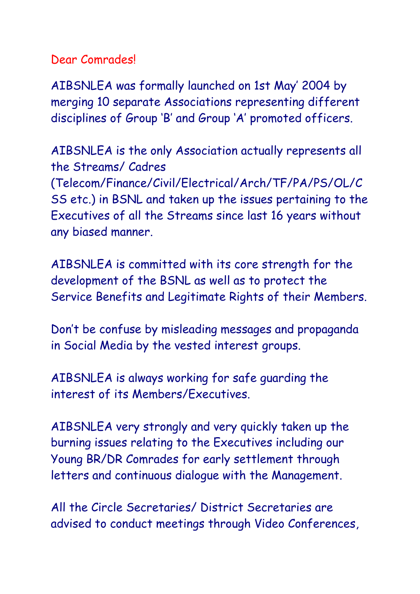Dear Comrades!

AIBSNLEA was formally launched on 1st May' 2004 by merging 10 separate Associations representing different disciplines of Group 'B' and Group 'A' promoted officers.

AIBSNLEA is the only Association actually represents all the Streams/ Cadres (Telecom/Finance/Civil/Electrical/Arch/TF/PA/PS/OL/C SS etc.) in BSNL and taken up the issues pertaining to the Executives of all the Streams since last 16 years without any biased manner.

AIBSNLEA is committed with its core strength for the development of the BSNL as well as to protect the Service Benefits and Legitimate Rights of their Members.

Don't be confuse by misleading messages and propaganda in Social Media by the vested interest groups.

AIBSNLEA is always working for safe guarding the interest of its Members/Executives.

AIBSNLEA very strongly and very quickly taken up the burning issues relating to the Executives including our Young BR/DR Comrades for early settlement through letters and continuous dialogue with the Management.

All the Circle Secretaries/ District Secretaries are advised to conduct meetings through Video Conferences,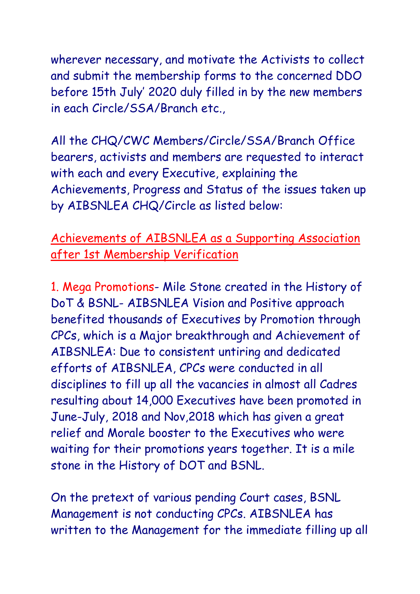wherever necessary, and motivate the Activists to collect and submit the membership forms to the concerned DDO before 15th July' 2020 duly filled in by the new members in each Circle/SSA/Branch etc.,

All the CHQ/CWC Members/Circle/SSA/Branch Office bearers, activists and members are requested to interact with each and every Executive, explaining the Achievements, Progress and Status of the issues taken up by AIBSNLEA CHQ/Circle as listed below:

# Achievements of AIBSNLEA as a Supporting Association after 1st Membership Verification

1. Mega Promotions- Mile Stone created in the History of DoT & BSNL- AIBSNLEA Vision and Positive approach benefited thousands of Executives by Promotion through CPCs, which is a Major breakthrough and Achievement of AIBSNLEA: Due to consistent untiring and dedicated efforts of AIBSNLEA, CPCs were conducted in all disciplines to fill up all the vacancies in almost all Cadres resulting about 14,000 Executives have been promoted in June-July, 2018 and Nov,2018 which has given a great relief and Morale booster to the Executives who were waiting for their promotions years together. It is a mile stone in the History of DOT and BSNL.

On the pretext of various pending Court cases, BSNL Management is not conducting CPCs. AIBSNLEA has written to the Management for the immediate filling up all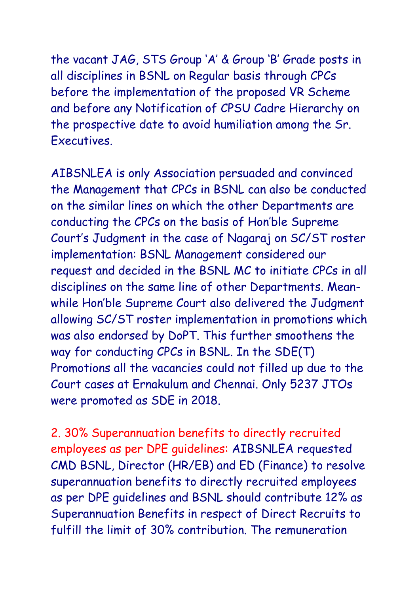the vacant JAG, STS Group 'A' & Group 'B' Grade posts in all disciplines in BSNL on Regular basis through CPCs before the implementation of the proposed VR Scheme and before any Notification of CPSU Cadre Hierarchy on the prospective date to avoid humiliation among the Sr. Executives.

AIBSNLEA is only Association persuaded and convinced the Management that CPCs in BSNL can also be conducted on the similar lines on which the other Departments are conducting the CPCs on the basis of Hon'ble Supreme Court's Judgment in the case of Nagaraj on SC/ST roster implementation: BSNL Management considered our request and decided in the BSNL MC to initiate CPCs in all disciplines on the same line of other Departments. Meanwhile Hon'ble Supreme Court also delivered the Judgment allowing SC/ST roster implementation in promotions which was also endorsed by DoPT. This further smoothens the way for conducting CPCs in BSNL. In the SDE(T) Promotions all the vacancies could not filled up due to the Court cases at Ernakulum and Chennai. Only 5237 JTOs were promoted as SDE in 2018.

2. 30% Superannuation benefits to directly recruited employees as per DPE guidelines: AIBSNLEA requested CMD BSNL, Director (HR/EB) and ED (Finance) to resolve superannuation benefits to directly recruited employees as per DPE guidelines and BSNL should contribute 12% as Superannuation Benefits in respect of Direct Recruits to fulfill the limit of 30% contribution. The remuneration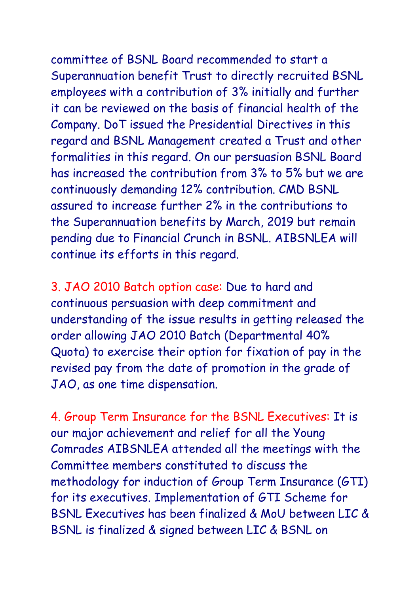committee of BSNL Board recommended to start a Superannuation benefit Trust to directly recruited BSNL employees with a contribution of 3% initially and further it can be reviewed on the basis of financial health of the Company. DoT issued the Presidential Directives in this regard and BSNL Management created a Trust and other formalities in this regard. On our persuasion BSNL Board has increased the contribution from 3% to 5% but we are continuously demanding 12% contribution. CMD BSNL assured to increase further 2% in the contributions to the Superannuation benefits by March, 2019 but remain pending due to Financial Crunch in BSNL. AIBSNLEA will continue its efforts in this regard.

3. JAO 2010 Batch option case: Due to hard and continuous persuasion with deep commitment and understanding of the issue results in getting released the order allowing JAO 2010 Batch (Departmental 40% Quota) to exercise their option for fixation of pay in the revised pay from the date of promotion in the grade of JAO, as one time dispensation.

4. Group Term Insurance for the BSNL Executives: It is our major achievement and relief for all the Young Comrades AIBSNLEA attended all the meetings with the Committee members constituted to discuss the methodology for induction of Group Term Insurance (GTI) for its executives. Implementation of GTI Scheme for BSNL Executives has been finalized & MoU between LIC & BSNL is finalized & signed between LIC & BSNL on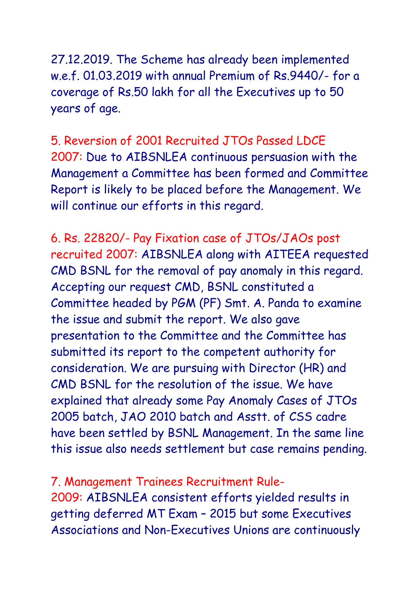27.12.2019. The Scheme has already been implemented w.e.f. 01.03.2019 with annual Premium of Rs.9440/- for a coverage of Rs.50 lakh for all the Executives up to 50 years of age.

5. Reversion of 2001 Recruited JTOs Passed LDCE 2007: Due to AIBSNLEA continuous persuasion with the Management a Committee has been formed and Committee Report is likely to be placed before the Management. We will continue our efforts in this regard.

6. Rs. 22820/- Pay Fixation case of JTOs/JAOs post recruited 2007: AIBSNLEA along with AITEEA requested CMD BSNL for the removal of pay anomaly in this regard. Accepting our request CMD, BSNL constituted a Committee headed by PGM (PF) Smt. A. Panda to examine the issue and submit the report. We also gave presentation to the Committee and the Committee has submitted its report to the competent authority for consideration. We are pursuing with Director (HR) and CMD BSNL for the resolution of the issue. We have explained that already some Pay Anomaly Cases of JTOs 2005 batch, JAO 2010 batch and Asstt. of CSS cadre have been settled by BSNL Management. In the same line this issue also needs settlement but case remains pending.

7. Management Trainees Recruitment Rule-2009: AIBSNLEA consistent efforts yielded results in getting deferred MT Exam – 2015 but some Executives Associations and Non-Executives Unions are continuously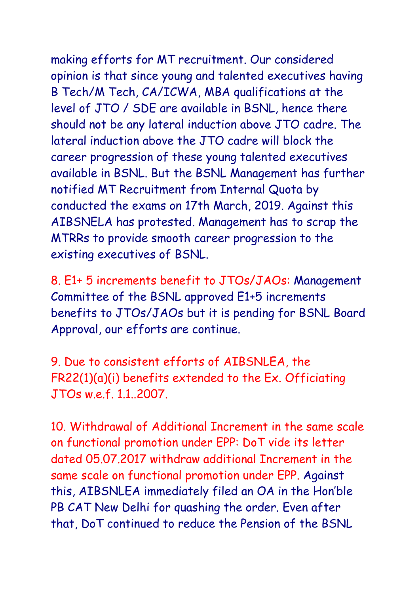making efforts for MT recruitment. Our considered opinion is that since young and talented executives having B Tech/M Tech, CA/ICWA, MBA qualifications at the level of JTO / SDE are available in BSNL, hence there should not be any lateral induction above JTO cadre. The lateral induction above the JTO cadre will block the career progression of these young talented executives available in BSNL. But the BSNL Management has further notified MT Recruitment from Internal Quota by conducted the exams on 17th March, 2019. Against this AIBSNELA has protested. Management has to scrap the MTRRs to provide smooth career progression to the existing executives of BSNL.

8. E1+ 5 increments benefit to JTOs/JAOs: Management Committee of the BSNL approved E1+5 increments benefits to JTOs/JAOs but it is pending for BSNL Board Approval, our efforts are continue.

9. Due to consistent efforts of AIBSNLEA, the FR22(1)(a)(i) benefits extended to the Ex. Officiating JTOs w.e.f. 1.1..2007.

10. Withdrawal of Additional Increment in the same scale on functional promotion under EPP: DoT vide its letter dated 05.07.2017 withdraw additional Increment in the same scale on functional promotion under EPP. Against this, AIBSNLEA immediately filed an OA in the Hon'ble PB CAT New Delhi for quashing the order. Even after that, DoT continued to reduce the Pension of the BSNL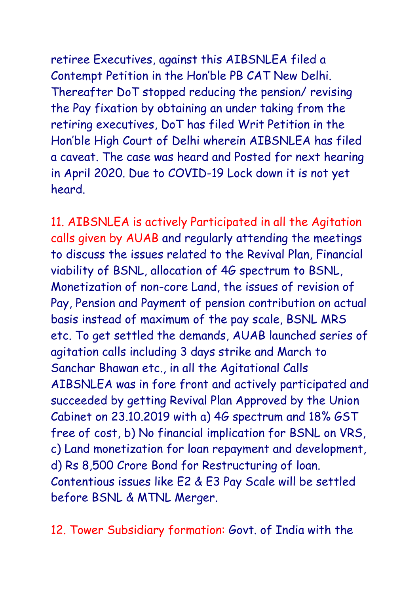retiree Executives, against this AIBSNLEA filed a Contempt Petition in the Hon'ble PB CAT New Delhi. Thereafter DoT stopped reducing the pension/ revising the Pay fixation by obtaining an under taking from the retiring executives, DoT has filed Writ Petition in the Hon'ble High Court of Delhi wherein AIBSNLEA has filed a caveat. The case was heard and Posted for next hearing in April 2020. Due to COVID-19 Lock down it is not yet heard.

11. AIBSNLEA is actively Participated in all the Agitation calls given by AUAB and regularly attending the meetings to discuss the issues related to the Revival Plan, Financial viability of BSNL, allocation of 4G spectrum to BSNL, Monetization of non-core Land, the issues of revision of Pay, Pension and Payment of pension contribution on actual basis instead of maximum of the pay scale, BSNL MRS etc. To get settled the demands, AUAB launched series of agitation calls including 3 days strike and March to Sanchar Bhawan etc., in all the Agitational Calls AIBSNLEA was in fore front and actively participated and succeeded by getting Revival Plan Approved by the Union Cabinet on 23.10.2019 with a) 4G spectrum and 18% GST free of cost, b) No financial implication for BSNL on VRS, c) Land monetization for loan repayment and development, d) Rs 8,500 Crore Bond for Restructuring of loan. Contentious issues like E2 & E3 Pay Scale will be settled before BSNL & MTNL Merger.

12. Tower Subsidiary formation: Govt. of India with the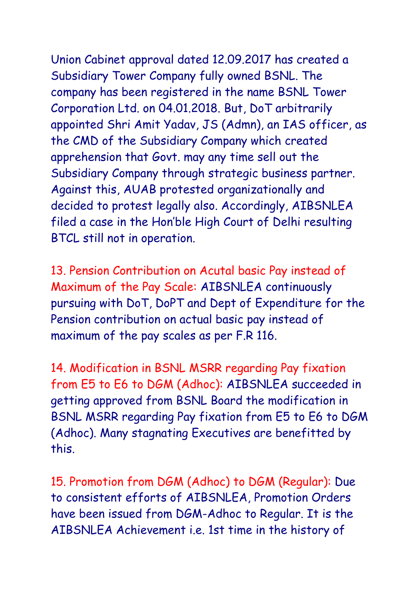Union Cabinet approval dated 12.09.2017 has created a Subsidiary Tower Company fully owned BSNL. The company has been registered in the name BSNL Tower Corporation Ltd. on 04.01.2018. But, DoT arbitrarily appointed Shri Amit Yadav, JS (Admn), an IAS officer, as the CMD of the Subsidiary Company which created apprehension that Govt. may any time sell out the Subsidiary Company through strategic business partner. Against this, AUAB protested organizationally and decided to protest legally also. Accordingly, AIBSNLEA filed a case in the Hon'ble High Court of Delhi resulting BTCL still not in operation.

13. Pension Contribution on Acutal basic Pay instead of Maximum of the Pay Scale: AIBSNLEA continuously pursuing with DoT, DoPT and Dept of Expenditure for the Pension contribution on actual basic pay instead of maximum of the pay scales as per F.R 116.

14. Modification in BSNL MSRR regarding Pay fixation from E5 to E6 to DGM (Adhoc): AIBSNLEA succeeded in getting approved from BSNL Board the modification in BSNL MSRR regarding Pay fixation from E5 to E6 to DGM (Adhoc). Many stagnating Executives are benefitted by this.

15. Promotion from DGM (Adhoc) to DGM (Regular): Due to consistent efforts of AIBSNLEA, Promotion Orders have been issued from DGM-Adhoc to Regular. It is the AIBSNLEA Achievement i.e. 1st time in the history of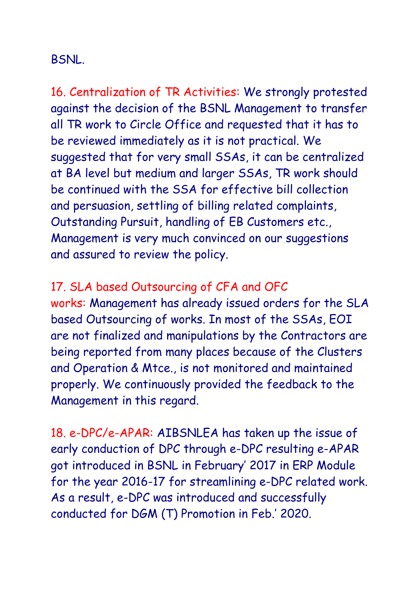## BSNL.

16. Centralization of TR Activities: We strongly protested against the decision of the BSNL Management to transfer all TR work to Circle Office and requested that it has to be reviewed immediately as it is not practical. We suggested that for very small SSAs, it can be centralized at BA level but medium and larger SSAs, TR work should be continued with the SSA for effective bill collection and persuasion, settling of billing related complaints, Outstanding Pursuit, handling of EB Customers etc., Management is very much convinced on our suggestions and assured to review the policy.

## 17. SLA based Outsourcing of CFA and OFC

works: Management has already issued orders for the SLA based Outsourcing of works. In most of the SSAs, EOI are not finalized and manipulations by the Contractors are being reported from many places because of the Clusters and Operation & Mtce., is not monitored and maintained properly. We continuously provided the feedback to the Management in this regard.

18. e-DPC/e-APAR: AIBSNLEA has taken up the issue of early conduction of DPC through e-DPC resulting e-APAR got introduced in BSNL in February' 2017 in ERP Module for the year 2016-17 for streamlining e-DPC related work. As a result, e-DPC was introduced and successfully conducted for DGM (T) Promotion in Feb.' 2020.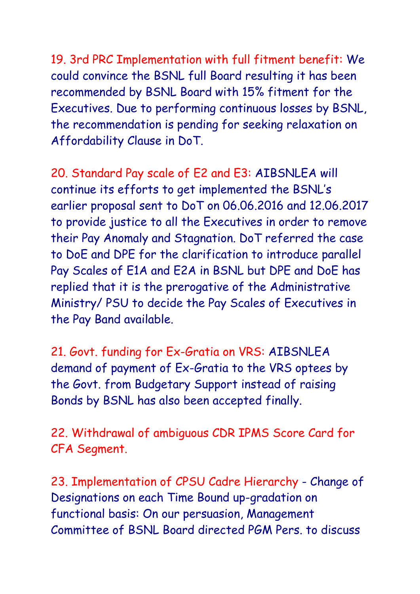19. 3rd PRC Implementation with full fitment benefit: We could convince the BSNL full Board resulting it has been recommended by BSNL Board with 15% fitment for the Executives. Due to performing continuous losses by BSNL, the recommendation is pending for seeking relaxation on Affordability Clause in DoT.

20. Standard Pay scale of E2 and E3: AIBSNLEA will continue its efforts to get implemented the BSNL's earlier proposal sent to DoT on 06.06.2016 and 12.06.2017 to provide justice to all the Executives in order to remove their Pay Anomaly and Stagnation. DoT referred the case to DoE and DPE for the clarification to introduce parallel Pay Scales of E1A and E2A in BSNL but DPE and DoE has replied that it is the prerogative of the Administrative Ministry/ PSU to decide the Pay Scales of Executives in the Pay Band available.

21. Govt. funding for Ex-Gratia on VRS: AIBSNLEA demand of payment of Ex-Gratia to the VRS optees by the Govt. from Budgetary Support instead of raising Bonds by BSNL has also been accepted finally.

22. Withdrawal of ambiguous CDR IPMS Score Card for CFA Segment.

23. Implementation of CPSU Cadre Hierarchy - Change of Designations on each Time Bound up-gradation on functional basis: On our persuasion, Management Committee of BSNL Board directed PGM Pers. to discuss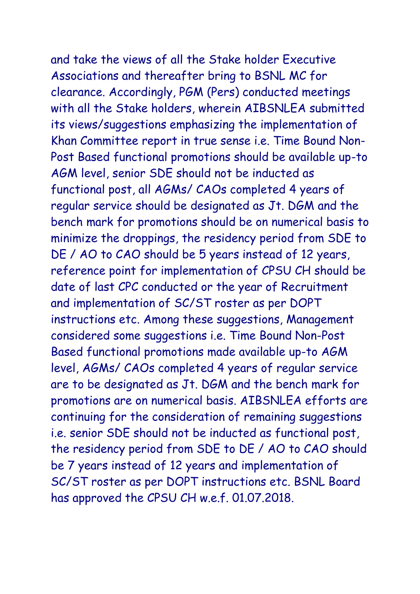and take the views of all the Stake holder Executive Associations and thereafter bring to BSNL MC for clearance. Accordingly, PGM (Pers) conducted meetings with all the Stake holders, wherein AIBSNLEA submitted its views/suggestions emphasizing the implementation of Khan Committee report in true sense i.e. Time Bound Non-Post Based functional promotions should be available up-to AGM level, senior SDE should not be inducted as functional post, all AGMs/ CAOs completed 4 years of regular service should be designated as Jt. DGM and the bench mark for promotions should be on numerical basis to minimize the droppings, the residency period from SDE to DE / AO to CAO should be 5 years instead of 12 years, reference point for implementation of CPSU CH should be date of last CPC conducted or the year of Recruitment and implementation of SC/ST roster as per DOPT instructions etc. Among these suggestions, Management considered some suggestions i.e. Time Bound Non-Post Based functional promotions made available up-to AGM level, AGMs/ CAOs completed 4 years of regular service are to be designated as Jt. DGM and the bench mark for promotions are on numerical basis. AIBSNLEA efforts are continuing for the consideration of remaining suggestions i.e. senior SDE should not be inducted as functional post, the residency period from SDE to DE / AO to CAO should be 7 years instead of 12 years and implementation of SC/ST roster as per DOPT instructions etc. BSNL Board has approved the CPSU CH w.e.f. 01.07.2018.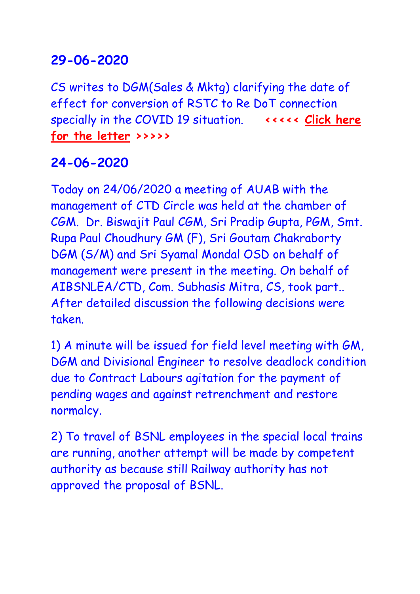# **29-06-2020**

CS writes to DGM(Sales & Mktg) clarifying the date of effect for conversion of RSTC to Re DoT connection specially in the COVID 19 situation. **<<<<< [Click here](DGM_%20290620.pdf)  [for the letter](DGM_%20290620.pdf) >>>>>**

# **24-06-2020**

Today on 24/06/2020 a meeting of AUAB with the management of CTD Circle was held at the chamber of CGM. Dr. Biswajit Paul CGM, Sri Pradip Gupta, PGM, Smt. Rupa Paul Choudhury GM (F), Sri Goutam Chakraborty DGM (S/M) and Sri Syamal Mondal OSD on behalf of management were present in the meeting. On behalf of AIBSNLEA/CTD, Com. Subhasis Mitra, CS, took part.. After detailed discussion the following decisions were taken.

1) A minute will be issued for field level meeting with GM, DGM and Divisional Engineer to resolve deadlock condition due to Contract Labours agitation for the payment of pending wages and against retrenchment and restore normalcy.

2) To travel of BSNL employees in the special local trains are running, another attempt will be made by competent authority as because still Railway authority has not approved the proposal of BSNL.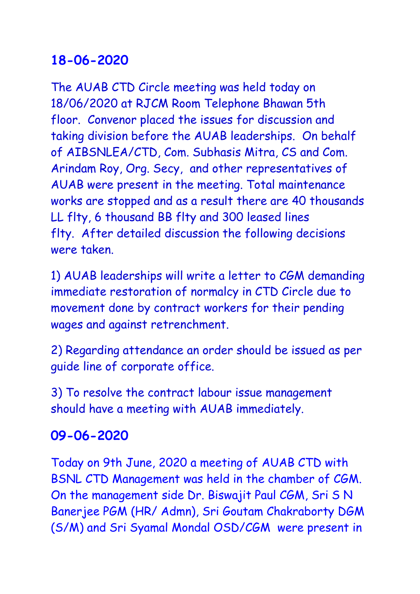# **18-06-2020**

The AUAB CTD Circle meeting was held today on 18/06/2020 at RJCM Room Telephone Bhawan 5th floor. Convenor placed the issues for discussion and taking division before the AUAB leaderships. On behalf of AIBSNLEA/CTD, Com. Subhasis Mitra, CS and Com. Arindam Roy, Org. Secy, and other representatives of AUAB were present in the meeting. Total maintenance works are stopped and as a result there are 40 thousands LL flty, 6 thousand BB flty and 300 leased lines flty. After detailed discussion the following decisions were taken.

1) AUAB leaderships will write a letter to CGM demanding immediate restoration of normalcy in CTD Circle due to movement done by contract workers for their pending wages and against retrenchment.

2) Regarding attendance an order should be issued as per guide line of corporate office.

3) To resolve the contract labour issue management should have a meeting with AUAB immediately.

# **09-06-2020**

Today on 9th June, 2020 a meeting of AUAB CTD with BSNL CTD Management was held in the chamber of CGM. On the management side Dr. Biswajit Paul CGM, Sri S N Banerjee PGM (HR/ Admn), Sri Goutam Chakraborty DGM (S/M) and Sri Syamal Mondal OSD/CGM were present in